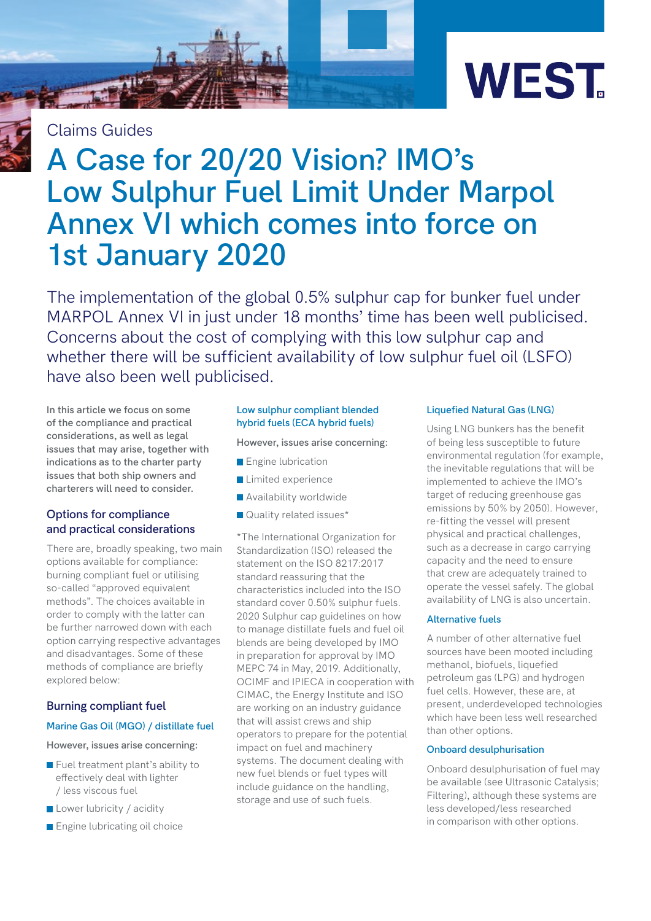

Claims Guides

# **A Case for 20/20 Vision? IMO's Low Sulphur Fuel Limit Under Marpol Annex VI which comes into force on 1st January 2020**

The implementation of the global 0.5% sulphur cap for bunker fuel under MARPOL Annex VI in just under 18 months' time has been well publicised. Concerns about the cost of complying with this low sulphur cap and whether there will be sufficient availability of low sulphur fuel oil (LSFO) have also been well publicised.

**In this article we focus on some of the compliance and practical considerations, as well as legal issues that may arise, together with indications as to the charter party issues that both ship owners and charterers will need to consider.**

### **Options for compliance and practical considerations**

There are, broadly speaking, two main options available for compliance: burning compliant fuel or utilising so-called "approved equivalent methods". The choices available in order to comply with the latter can be further narrowed down with each option carrying respective advantages and disadvantages. Some of these methods of compliance are briefly explored below:

### **Burning compliant fuel**

#### **Marine Gas Oil (MGO) / distillate fuel**

**However, issues arise concerning:** 

- $\blacksquare$  Fuel treatment plant's ability to effectively deal with lighter / less viscous fuel
- Lower lubricity / acidity
- **Engine lubricating oil choice**

#### **Low sulphur compliant blended hybrid fuels (ECA hybrid fuels)**

#### **However, issues arise concerning:**

- **Engine lubrication**
- **Limited experience**
- **Availability worldwide**
- **Quality related issues\***

\*The International Organization for Standardization (ISO) released the statement on the ISO 8217:2017 standard reassuring that the characteristics included into the ISO standard cover 0.50% sulphur fuels. 2020 Sulphur cap guidelines on how to manage distillate fuels and fuel oil blends are being developed by IMO in preparation for approval by IMO MEPC 74 in May, 2019. Additionally, OCIMF and IPIECA in cooperation with CIMAC, the Energy Institute and ISO are working on an industry guidance that will assist crews and ship operators to prepare for the potential impact on fuel and machinery systems. The document dealing with new fuel blends or fuel types will include guidance on the handling, storage and use of such fuels.

#### **Liquefied Natural Gas (LNG)**

Using LNG bunkers has the benefit of being less susceptible to future environmental regulation (for example, the inevitable regulations that will be implemented to achieve the IMO's target of reducing greenhouse gas emissions by 50% by 2050). However, re-fitting the vessel will present physical and practical challenges, such as a decrease in cargo carrying capacity and the need to ensure that crew are adequately trained to operate the vessel safely. The global availability of LNG is also uncertain.

#### **Alternative fuels**

A number of other alternative fuel sources have been mooted including methanol, biofuels, liquefied petroleum gas (LPG) and hydrogen fuel cells. However, these are, at present, underdeveloped technologies which have been less well researched than other options.

#### **Onboard desulphurisation**

Onboard desulphurisation of fuel may be available (see Ultrasonic Catalysis; Filtering), although these systems are less developed/less researched in comparison with other options.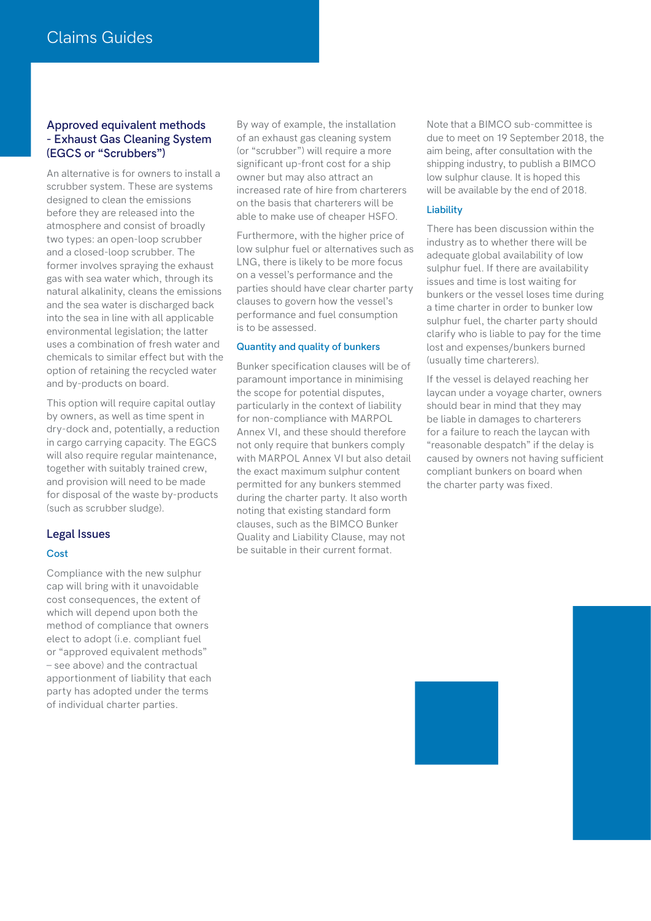#### **Approved equivalent methods - Exhaust Gas Cleaning System (EGCS or "Scrubbers")**

An alternative is for owners to install a scrubber system. These are systems designed to clean the emissions before they are released into the atmosphere and consist of broadly two types: an open-loop scrubber and a closed-loop scrubber. The former involves spraying the exhaust gas with sea water which, through its natural alkalinity, cleans the emissions and the sea water is discharged back into the sea in line with all applicable environmental legislation; the latter uses a combination of fresh water and chemicals to similar effect but with the option of retaining the recycled water and by-products on board.

This option will require capital outlay by owners, as well as time spent in dry-dock and, potentially, a reduction in cargo carrying capacity. The EGCS will also require regular maintenance, together with suitably trained crew, and provision will need to be made for disposal of the waste by-products (such as scrubber sludge).

#### **Legal Issues**

#### **Cost**

Compliance with the new sulphur cap will bring with it unavoidable cost consequences, the extent of which will depend upon both the method of compliance that owners elect to adopt (i.e. compliant fuel or "approved equivalent methods" – see above) and the contractual apportionment of liability that each party has adopted under the terms of individual charter parties.

By way of example, the installation of an exhaust gas cleaning system (or "scrubber") will require a more significant up-front cost for a ship owner but may also attract an increased rate of hire from charterers on the basis that charterers will be able to make use of cheaper HSFO.

Furthermore, with the higher price of low sulphur fuel or alternatives such as LNG, there is likely to be more focus on a vessel's performance and the parties should have clear charter party clauses to govern how the vessel's performance and fuel consumption is to be assessed.

#### **Quantity and quality of bunkers**

Bunker specification clauses will be of paramount importance in minimising the scope for potential disputes, particularly in the context of liability for non-compliance with MARPOL Annex VI, and these should therefore not only require that bunkers comply with MARPOL Annex VI but also detail the exact maximum sulphur content permitted for any bunkers stemmed during the charter party. It also worth noting that existing standard form clauses, such as the BIMCO Bunker Quality and Liability Clause, may not be suitable in their current format.

Note that a BIMCO sub-committee is due to meet on 19 September 2018, the aim being, after consultation with the shipping industry, to publish a BIMCO low sulphur clause. It is hoped this will be available by the end of 2018.

#### **Liability**

There has been discussion within the industry as to whether there will be adequate global availability of low sulphur fuel. If there are availability issues and time is lost waiting for bunkers or the vessel loses time during a time charter in order to bunker low sulphur fuel, the charter party should clarify who is liable to pay for the time lost and expenses/bunkers burned (usually time charterers).

If the vessel is delayed reaching her laycan under a voyage charter, owners should bear in mind that they may be liable in damages to charterers for a failure to reach the laycan with "reasonable despatch" if the delay is caused by owners not having sufficient compliant bunkers on board when the charter party was fixed.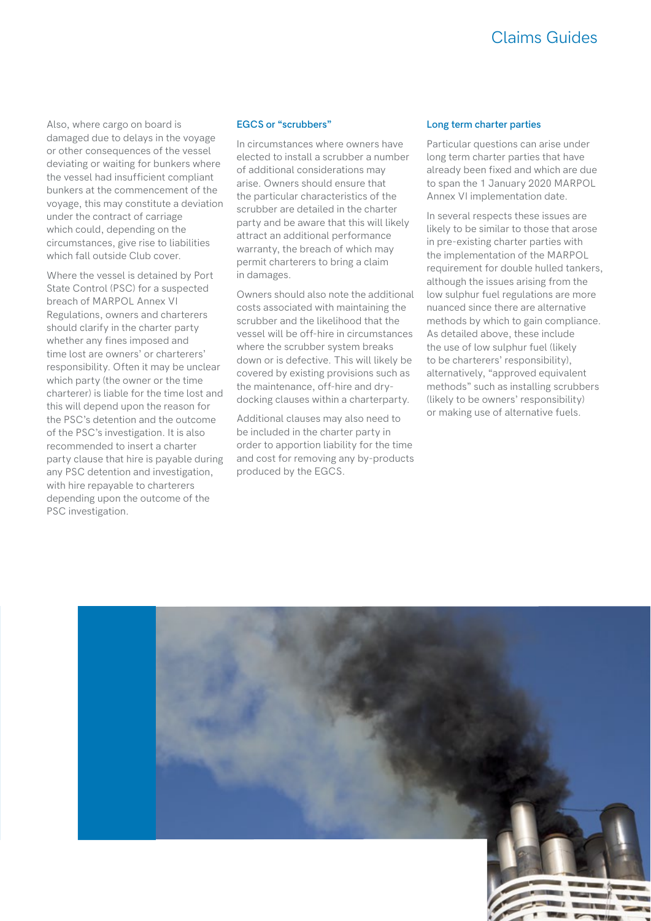## Claims Guides

Also, where cargo on board is damaged due to delays in the voyage or other consequences of the vessel deviating or waiting for bunkers where the vessel had insufficient compliant bunkers at the commencement of the voyage, this may constitute a deviation under the contract of carriage which could, depending on the circumstances, give rise to liabilities which fall outside Club cover.

Where the vessel is detained by Port State Control (PSC) for a suspected breach of MARPOL Annex VI Regulations, owners and charterers should clarify in the charter party whether any fines imposed and time lost are owners' or charterers' responsibility. Often it may be unclear which party (the owner or the time charterer) is liable for the time lost and this will depend upon the reason for the PSC's detention and the outcome of the PSC's investigation. It is also recommended to insert a charter party clause that hire is payable during any PSC detention and investigation, with hire repayable to charterers depending upon the outcome of the PSC investigation.

#### **EGCS or "scrubbers"**

In circumstances where owners have elected to install a scrubber a number of additional considerations may arise. Owners should ensure that the particular characteristics of the scrubber are detailed in the charter party and be aware that this will likely attract an additional performance warranty, the breach of which may permit charterers to bring a claim in damages.

Owners should also note the additional costs associated with maintaining the scrubber and the likelihood that the vessel will be off-hire in circumstances where the scrubber system breaks down or is defective. This will likely be covered by existing provisions such as the maintenance, off-hire and drydocking clauses within a charterparty.

Additional clauses may also need to be included in the charter party in order to apportion liability for the time and cost for removing any by-products produced by the EGCS.

#### **Long term charter parties**

Particular questions can arise under long term charter parties that have already been fixed and which are due to span the 1 January 2020 MARPOL Annex VI implementation date.

In several respects these issues are likely to be similar to those that arose in pre-existing charter parties with the implementation of the MARPOL requirement for double hulled tankers, although the issues arising from the low sulphur fuel regulations are more nuanced since there are alternative methods by which to gain compliance. As detailed above, these include the use of low sulphur fuel (likely to be charterers' responsibility), alternatively, "approved equivalent methods" such as installing scrubbers (likely to be owners' responsibility) or making use of alternative fuels.